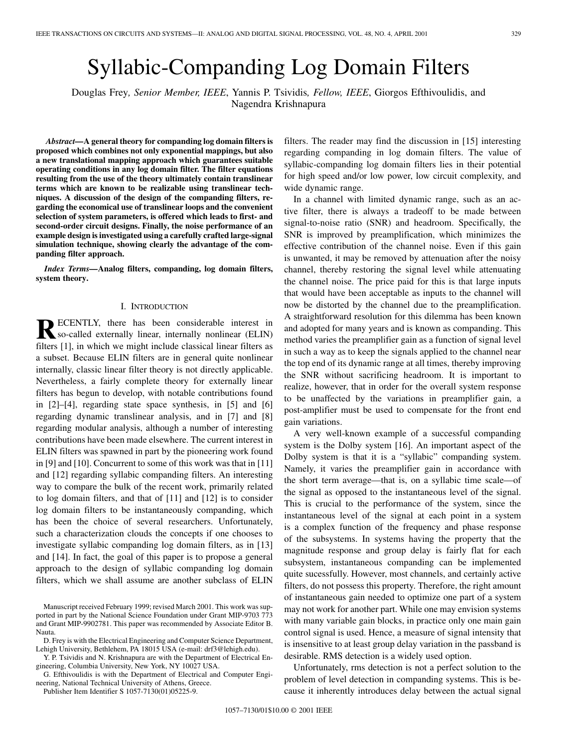# Syllabic-Companding Log Domain Filters

Douglas Frey*, Senior Member, IEEE*, Yannis P. Tsividis*, Fellow, IEEE*, Giorgos Efthivoulidis, and Nagendra Krishnapura

*Abstract—***A general theory for companding log domain filters is proposed which combines not only exponential mappings, but also a new translational mapping approach which guarantees suitable operating conditions in any log domain filter. The filter equations resulting from the use of the theory ultimately contain translinear terms which are known to be realizable using translinear techniques. A discussion of the design of the companding filters, regarding the economical use of translinear loops and the convenient selection of system parameters, is offered which leads to first- and second-order circuit designs. Finally, the noise performance of an example design is investigated using a carefully crafted large-signal simulation technique, showing clearly the advantage of the companding filter approach.**

*Index Terms—***Analog filters, companding, log domain filters, system theory.**

## I. INTRODUCTION

**R** ECENTLY, there has been considerable interest in so-called externally linear, internally nonlinear (ELIN) so-called externally linear, internally nonlinear (ELIN) filters [1], in which we might include classical linear filters as a subset. Because ELIN filters are in general quite nonlinear internally, classic linear filter theory is not directly applicable. Nevertheless, a fairly complete theory for externally linear filters has begun to develop, with notable contributions found in [2]–[4], regarding state space synthesis, in [5] and [6] regarding dynamic translinear analysis, and in [7] and [8] regarding modular analysis, although a number of interesting contributions have been made elsewhere. The current interest in ELIN filters was spawned in part by the pioneering work found in [9] and [10]. Concurrent to some of this work was that in [11] and [12] regarding syllabic companding filters. An interesting way to compare the bulk of the recent work, primarily related to log domain filters, and that of [11] and [12] is to consider log domain filters to be instantaneously companding, which has been the choice of several researchers. Unfortunately, such a characterization clouds the concepts if one chooses to investigate syllabic companding log domain filters, as in [13] and [14]. In fact, the goal of this paper is to propose a general approach to the design of syllabic companding log domain filters, which we shall assume are another subclass of ELIN

Manuscript received February 1999; revised March 2001. This work was supported in part by the National Science Foundation under Grant MIP-9703 773 and Grant MIP-9902781. This paper was recommended by Associate Editor B. Nauta.

D. Frey is with the Electrical Engineering and Computer Science Department, Lehigh University, Bethlehem, PA 18015 USA (e-mail: drf3@lehigh.edu).

Y. P. Tsividis and N. Krishnapura are with the Department of Electrical Engineering, Columbia University, New York, NY 10027 USA.

G. Efthivoulidis is with the Department of Electrical and Computer Engineering, National Technical University of Athens, Greece.

Publisher Item Identifier S 1057-7130(01)05225-9.

filters. The reader may find the discussion in [15] interesting regarding companding in log domain filters. The value of syllabic-companding log domain filters lies in their potential for high speed and/or low power, low circuit complexity, and wide dynamic range.

In a channel with limited dynamic range, such as an active filter, there is always a tradeoff to be made between signal-to-noise ratio (SNR) and headroom. Specifically, the SNR is improved by preamplification, which minimizes the effective contribution of the channel noise. Even if this gain is unwanted, it may be removed by attenuation after the noisy channel, thereby restoring the signal level while attenuating the channel noise. The price paid for this is that large inputs that would have been acceptable as inputs to the channel will now be distorted by the channel due to the preamplification. A straightforward resolution for this dilemma has been known and adopted for many years and is known as companding. This method varies the preamplifier gain as a function of signal level in such a way as to keep the signals applied to the channel near the top end of its dynamic range at all times, thereby improving the SNR without sacrificing headroom. It is important to realize, however, that in order for the overall system response to be unaffected by the variations in preamplifier gain, a post-amplifier must be used to compensate for the front end gain variations.

A very well-known example of a successful companding system is the Dolby system [16]. An important aspect of the Dolby system is that it is a "syllabic" companding system. Namely, it varies the preamplifier gain in accordance with the short term average—that is, on a syllabic time scale—of the signal as opposed to the instantaneous level of the signal. This is crucial to the performance of the system, since the instantaneous level of the signal at each point in a system is a complex function of the frequency and phase response of the subsystems. In systems having the property that the magnitude response and group delay is fairly flat for each subsystem, instantaneous companding can be implemented quite sucessfully. However, most channels, and certainly active filters, do not possess this property. Therefore, the right amount of instantaneous gain needed to optimize one part of a system may not work for another part. While one may envision systems with many variable gain blocks, in practice only one main gain control signal is used. Hence, a measure of signal intensity that is insensitive to at least group delay variation in the passband is desirable. RMS detection is a widely used option.

Unfortunately, rms detection is not a perfect solution to the problem of level detection in companding systems. This is because it inherently introduces delay between the actual signal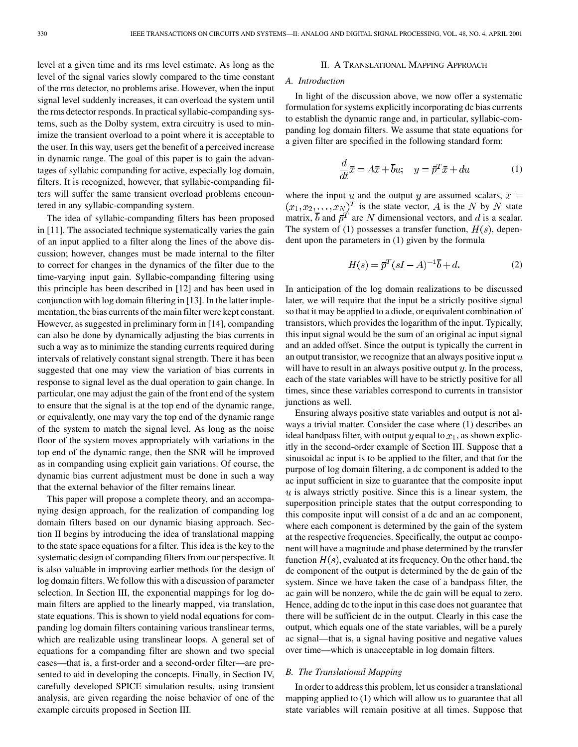level at a given time and its rms level estimate. As long as the level of the signal varies slowly compared to the time constant of the rms detector, no problems arise. However, when the input signal level suddenly increases, it can overload the system until the rms detector responds. In practical syllabic-companding systems, such as the Dolby system, extra circuitry is used to minimize the transient overload to a point where it is acceptable to the user. In this way, users get the benefit of a perceived increase in dynamic range. The goal of this paper is to gain the advantages of syllabic companding for active, especially log domain, filters. It is recognized, however, that syllabic-companding filters will suffer the same transient overload problems encountered in any syllabic-companding system.

The idea of syllabic-companding filters has been proposed in [11]. The associated technique systematically varies the gain of an input applied to a filter along the lines of the above discussion; however, changes must be made internal to the filter to correct for changes in the dynamics of the filter due to the time-varying input gain. Syllabic-companding filtering using this principle has been described in [12] and has been used in conjunction with log domain filtering in [13]. In the latter implementation, the bias currents of the main filter were kept constant. However, as suggested in preliminary form in [14], companding can also be done by dynamically adjusting the bias currents in such a way as to minimize the standing currents required during intervals of relatively constant signal strength. There it has been suggested that one may view the variation of bias currents in response to signal level as the dual operation to gain change. In particular, one may adjust the gain of the front end of the system to ensure that the signal is at the top end of the dynamic range, or equivalently, one may vary the top end of the dynamic range of the system to match the signal level. As long as the noise floor of the system moves appropriately with variations in the top end of the dynamic range, then the SNR will be improved as in companding using explicit gain variations. Of course, the dynamic bias current adjustment must be done in such a way that the external behavior of the filter remains linear.

This paper will propose a complete theory, and an accompanying design approach, for the realization of companding log domain filters based on our dynamic biasing approach. Section II begins by introducing the idea of translational mapping to the state space equations for a filter. This idea is the key to the systematic design of companding filters from our perspective. It is also valuable in improving earlier methods for the design of log domain filters. We follow this with a discussion of parameter selection. In Section III, the exponential mappings for log domain filters are applied to the linearly mapped, via translation, state equations. This is shown to yield nodal equations for companding log domain filters containing various translinear terms, which are realizable using translinear loops. A general set of equations for a companding filter are shown and two special cases—that is, a first-order and a second-order filter—are presented to aid in developing the concepts. Finally, in Section IV, carefully developed SPICE simulation results, using transient analysis, are given regarding the noise behavior of one of the example circuits proposed in Section III.

## II. A TRANSLATIONAL MAPPING APPROACH

#### *A. Introduction*

In light of the discussion above, we now offer a systematic formulation for systems explicitly incorporating dc bias currents to establish the dynamic range and, in particular, syllabic-companding log domain filters. We assume that state equations for a given filter are specified in the following standard form:

$$
\frac{d}{dt}\bar{x} = A\bar{x} + \bar{b}u; \quad y = \bar{p}^T\bar{x} + du \tag{1}
$$

where the input u and the output y are assumed scalars,  $\bar{x}$  = is the state vector,  $A$  is the  $N$  by  $N$  state matrix, b and  $\bar{p}^T$  are N dimensional vectors, and d is a scalar. The system of (1) possesses a transfer function,  $H(s)$ , dependent upon the parameters in (1) given by the formula

$$
H(s) = \bar{p}^T (sI - A)^{-1} \bar{b} + d.
$$
 (2)

In anticipation of the log domain realizations to be discussed later, we will require that the input be a strictly positive signal so that it may be applied to a diode, or equivalent combination of transistors, which provides the logarithm of the input. Typically, this input signal would be the sum of an original ac input signal and an added offset. Since the output is typically the current in an output transistor, we recognize that an always positive input  $u$ will have to result in an always positive output  $y$ . In the process, each of the state variables will have to be strictly positive for all times, since these variables correspond to currents in transistor junctions as well.

Ensuring always positive state variables and output is not always a trivial matter. Consider the case where (1) describes an ideal bandpass filter, with output  $y$  equal to  $x_1$ , as shown explicitly in the second-order example of Section III. Suppose that a sinusoidal ac input is to be applied to the filter, and that for the purpose of log domain filtering, a dc component is added to the ac input sufficient in size to guarantee that the composite input  $u$  is always strictly positive. Since this is a linear system, the superposition principle states that the output corresponding to this composite input will consist of a dc and an ac component, where each component is determined by the gain of the system at the respective frequencies. Specifically, the output ac component will have a magnitude and phase determined by the transfer function  $H(s)$ , evaluated at its frequency. On the other hand, the dc component of the output is determined by the dc gain of the system. Since we have taken the case of a bandpass filter, the ac gain will be nonzero, while the dc gain will be equal to zero. Hence, adding dc to the input in this case does not guarantee that there will be sufficient dc in the output. Clearly in this case the output, which equals one of the state variables, will be a purely ac signal—that is, a signal having positive and negative values over time—which is unacceptable in log domain filters.

## *B. The Translational Mapping*

In order to address this problem, let us consider a translational mapping applied to (1) which will allow us to guarantee that all state variables will remain positive at all times. Suppose that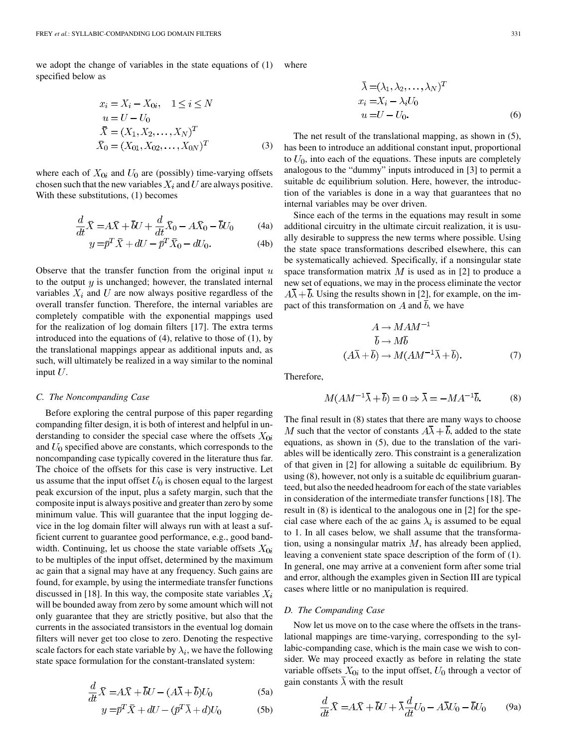we adopt the change of variables in the state equations of (1) specified below as

$$
x_i = X_i - X_{0i}, \quad 1 \le i \le N
$$
  
\n
$$
u = U - U_0
$$
  
\n
$$
\bar{X} = (X_1, X_2, \dots, X_N)^T
$$
  
\n
$$
\bar{X}_0 = (X_{01}, X_{02}, \dots, X_{0N})^T
$$
\n(3)

where each of  $X_{0i}$  and  $U_0$  are (possibly) time-varying offsets chosen such that the new variables  $X_i$  and U are always positive. With these substitutions, (1) becomes

$$
\frac{d}{dt}\bar{X} = A\bar{X} + \bar{b}U + \frac{d}{dt}\bar{X}_0 - A\bar{X}_0 - \bar{b}U_0 \tag{4a}
$$

$$
y = \overline{p}^T \overline{X} + dU - \overline{p}^T \overline{X}_0 - dU_0.
$$
 (4b)

Observe that the transfer function from the original input  $u$ to the output  $y$  is unchanged; however, the translated internal variables  $X_i$  and U are now always positive regardless of the overall transfer function. Therefore, the internal variables are completely compatible with the exponential mappings used for the realization of log domain filters [17]. The extra terms introduced into the equations of (4), relative to those of (1), by the translational mappings appear as additional inputs and, as such, will ultimately be realized in a way similar to the nominal input  $U$ .

#### *C. The Noncompanding Case*

Before exploring the central purpose of this paper regarding companding filter design, it is both of interest and helpful in understanding to consider the special case where the offsets  $X_{0i}$ and  $U_0$  specified above are constants, which corresponds to the noncompanding case typically covered in the literature thus far. The choice of the offsets for this case is very instructive. Let us assume that the input offset  $U_0$  is chosen equal to the largest peak excursion of the input, plus a safety margin, such that the composite input is always positive and greater than zero by some minimum value. This will guarantee that the input logging device in the log domain filter will always run with at least a sufficient current to guarantee good performance, e.g., good bandwidth. Continuing, let us choose the state variable offsets  $X_{0i}$ to be multiples of the input offset, determined by the maximum ac gain that a signal may have at any frequency. Such gains are found, for example, by using the intermediate transfer functions discussed in [18]. In this way, the composite state variables  $X_i$ will be bounded away from zero by some amount which will not only guarantee that they are strictly positive, but also that the currents in the associated transistors in the eventual log domain filters will never get too close to zero. Denoting the respective scale factors for each state variable by  $\lambda_i$ , we have the following state space formulation for the constant-translated system:

$$
\frac{d}{dt}\bar{X} = A\bar{X} + \bar{b}U - (A\bar{\lambda} + \bar{b})U_0
$$
 (5a)

$$
y = \overline{p}^T X + dU - (\overline{p}^T \lambda + d)U_0 \tag{5b}
$$

where

$$
\overline{\lambda} = (\lambda_1, \lambda_2, \dots, \lambda_N)^T
$$
  
\n
$$
x_i = X_i - \lambda_i U_0
$$
  
\n
$$
u = U - U_0.
$$
\n(6)

The net result of the translational mapping, as shown in (5), has been to introduce an additional constant input, proportional to  $U_0$ , into each of the equations. These inputs are completely analogous to the "dummy" inputs introduced in [3] to permit a suitable dc equilibrium solution. Here, however, the introduction of the variables is done in a way that guarantees that no internal variables may be over driven.

Since each of the terms in the equations may result in some additional circuitry in the ultimate circuit realization, it is usually desirable to suppress the new terms where possible. Using the state space transformations described elsewhere, this can be systematically achieved. Specifically, if a nonsingular state space transformation matrix  $M$  is used as in [2] to produce a new set of equations, we may in the process eliminate the vector  $A\overline{\lambda} + \overline{b}$ . Using the results shown in [2], for example, on the impact of this transformation on A and  $\overline{b}$ , we have

$$
A \to MAM^{-1}
$$
  
\n
$$
\overline{b} \to M\overline{b}
$$
  
\n
$$
(A\overline{\lambda} + \overline{b}) \to M(AM^{-1}\overline{\lambda} + \overline{b}).
$$
\n(7)

Therefore,

$$
M(AM^{-1}\bar{\lambda} + \bar{b}) = 0 \Rightarrow \bar{\lambda} = -MA^{-1}\bar{b}.
$$
 (8)

The final result in (8) states that there are many ways to choose M such that the vector of constants  $A\overline{\lambda} + \overline{b}$ , added to the state equations, as shown in (5), due to the translation of the variables will be identically zero. This constraint is a generalization of that given in [2] for allowing a suitable dc equilibrium. By using (8), however, not only is a suitable dc equilibrium guaranteed, but also the needed headroom for each of the state variables in consideration of the intermediate transfer functions [18]. The result in (8) is identical to the analogous one in [2] for the special case where each of the ac gains  $\lambda_i$  is assumed to be equal to 1. In all cases below, we shall assume that the transformation, using a nonsingular matrix  $M$ , has already been applied, leaving a convenient state space description of the form of (1). In general, one may arrive at a convenient form after some trial and error, although the examples given in Section III are typical cases where little or no manipulation is required.

## *D. The Companding Case*

Now let us move on to the case where the offsets in the translational mappings are time-varying, corresponding to the syllabic-companding case, which is the main case we wish to consider. We may proceed exactly as before in relating the state variable offsets  $X_{0i}$  to the input offset,  $U_0$  through a vector of gain constants  $\overline{\lambda}$  with the result

$$
\frac{d}{dt}\bar{X} = A\bar{X} + \bar{b}U + \bar{\lambda}\frac{d}{dt}U_0 - A\bar{\lambda}U_0 - \bar{b}U_0 \qquad (9a)
$$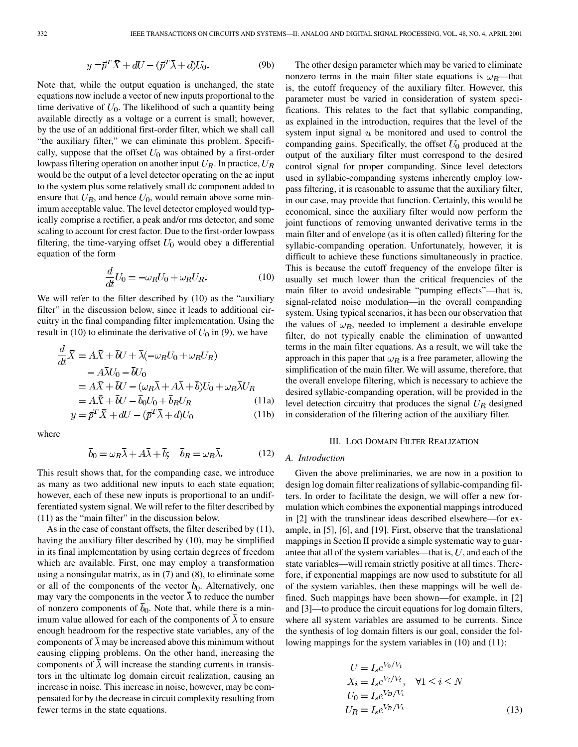$$
y = \bar{p}^T \bar{X} + dU - (\bar{p}^T \bar{\lambda} + d)U_0.
$$
 (9b)

Note that, while the output equation is unchanged, the state equations now include a vector of new inputs proportional to the time derivative of  $U_0$ . The likelihood of such a quantity being available directly as a voltage or a current is small; however, by the use of an additional first-order filter, which we shall call "the auxiliary filter," we can eliminate this problem. Specifically, suppose that the offset  $U_0$  was obtained by a first-order lowpass filtering operation on another input  $U_R$ . In practice,  $U_R$ would be the output of a level detector operating on the ac input to the system plus some relatively small dc component added to ensure that  $U_R$ , and hence  $U_0$ , would remain above some minimum acceptable value. The level detector employed would typically comprise a rectifier, a peak and/or rms detector, and some scaling to account for crest factor. Due to the first-order lowpass filtering, the time-varying offset  $U_0$  would obey a differential equation of the form

$$
\frac{d}{dt}U_0 = -\omega_R U_0 + \omega_R U_R. \tag{10}
$$

We will refer to the filter described by (10) as the "auxiliary filter" in the discussion below, since it leads to additional circuitry in the final companding filter implementation. Using the result in (10) to eliminate the derivative of  $U_0$  in (9), we have

$$
\frac{d}{dt}\bar{X} = A\bar{X} + \bar{b}U + \bar{\lambda}(-\omega_R U_0 + \omega_R U_R) \n- A\bar{\lambda}U_0 - \bar{b}U_0 \n= A\bar{X} + \bar{b}U - (\omega_R \bar{\lambda} + A\bar{\lambda} + \bar{b})U_0 + \omega_R \bar{\lambda}U_R \n= A\bar{X} + \bar{b}U - \bar{b}_0 U_0 + \bar{b}_R U_R
$$
\n(11a)

$$
y = \overline{p}^T \overline{X} + dU - (\overline{p}^T \overline{\lambda} + d)U_0
$$
 (11b)

where

$$
\overline{b}_0 = \omega_R \overline{\lambda} + A \overline{\lambda} + \overline{b}; \quad \overline{b}_R = \omega_R \overline{\lambda}.
$$
 (12)

This result shows that, for the companding case, we introduce as many as two additional new inputs to each state equation; however, each of these new inputs is proportional to an undifferentiated system signal. We will refer to the filter described by (11) as the "main filter" in the discussion below.

As in the case of constant offsets, the filter described by (11), having the auxiliary filter described by (10), may be simplified in its final implementation by using certain degrees of freedom which are available. First, one may employ a transformation using a nonsingular matrix, as in (7) and (8), to eliminate some or all of the components of the vector  $\bar{b}_0$ . Alternatively, one may vary the components in the vector  $\overline{\lambda}$  to reduce the number of nonzero components of  $\bar{b}_0$ . Note that, while there is a minimum value allowed for each of the components of  $\overline{\lambda}$  to ensure enough headroom for the respective state variables, any of the components of  $\overline{\lambda}$  may be increased above this minimum without causing clipping problems. On the other hand, increasing the components of  $\lambda$  will increase the standing currents in transistors in the ultimate log domain circuit realization, causing an increase in noise. This increase in noise, however, may be compensated for by the decrease in circuit complexity resulting from fewer terms in the state equations.

The other design parameter which may be varied to eliminate nonzero terms in the main filter state equations is  $\omega_R$ —that is, the cutoff frequency of the auxiliary filter. However, this parameter must be varied in consideration of system specifications. This relates to the fact that syllabic companding, as explained in the introduction, requires that the level of the system input signal  $u$  be monitored and used to control the companding gains. Specifically, the offset  $U_0$  produced at the output of the auxiliary filter must correspond to the desired control signal for proper companding. Since level detectors used in syllabic-companding systems inherently employ lowpass filtering, it is reasonable to assume that the auxiliary filter, in our case, may provide that function. Certainly, this would be economical, since the auxiliary filter would now perform the joint functions of removing unwanted derivative terms in the main filter and of envelope (as it is often called) filtering for the syllabic-companding operation. Unfortunately, however, it is difficult to achieve these functions simultaneously in practice. This is because the cutoff frequency of the envelope filter is usually set much lower than the critical frequencies of the main filter to avoid undesirable "pumping effects"—that is, signal-related noise modulation—in the overall companding system. Using typical scenarios, it has been our observation that the values of  $\omega_R$ , needed to implement a desirable envelope filter, do not typically enable the elimination of unwanted terms in the main filter equations. As a result, we will take the approach in this paper that  $\omega_R$  is a free parameter, allowing the simplification of the main filter. We will assume, therefore, that the overall envelope filtering, which is necessary to achieve the desired syllabic-companding operation, will be provided in the level detection circuitry that produces the signal  $U_R$  designed in consideration of the filtering action of the auxiliary filter.

## III. LOG DOMAIN FILTER REALIZATION

## *A. Introduction*

Given the above preliminaries, we are now in a position to design log domain filter realizations of syllabic-companding filters. In order to facilitate the design, we will offer a new formulation which combines the exponential mappings introduced in [2] with the translinear ideas described elsewhere—for example, in [5], [6], and [19]. First, observe that the translational mappings in Section II provide a simple systematic way to guarantee that all of the system variables—that is,  $U$ , and each of the state variables—will remain strictly positive at all times. Therefore, if exponential mappings are now used to substitute for all of the system variables, then these mappings will be well defined. Such mappings have been shown—for example, in [2] and [3]—to produce the circuit equations for log domain filters, where all system variables are assumed to be currents. Since the synthesis of log domain filters is our goal, consider the following mappings for the system variables in (10) and (11):

 $\mathbf{r} = \mathbf{r} \cdot \mathbf{r}$ 

$$
U = I_s e^{V_0/V_t}
$$
  
\n
$$
X_i = I_s e^{V_i/V_t}, \quad \forall 1 \le i \le N
$$
  
\n
$$
U_0 = I_s e^{V_B/V_t}
$$
  
\n
$$
U_R = I_s e^{V_R/V_t}
$$
\n(13)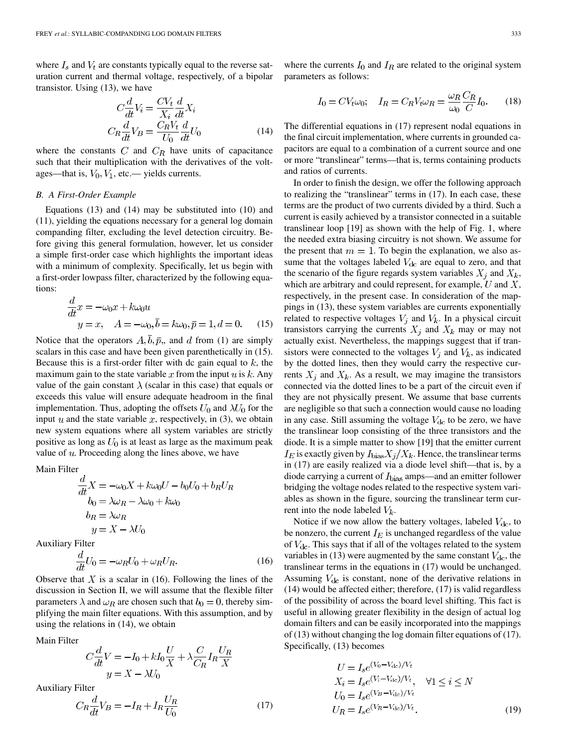where  $I_s$  and  $V_t$  are constants typically equal to the reverse saturation current and thermal voltage, respectively, of a bipolar transistor. Using (13), we have

$$
C\frac{d}{dt}V_i = \frac{CV_t}{X_i}\frac{d}{dt}X_i
$$

$$
C_R\frac{d}{dt}V_B = \frac{C_RV_t}{U_0}\frac{d}{dt}U_0
$$
(14)

where the constants  $C$  and  $C_R$  have units of capacitance such that their multiplication with the derivatives of the voltages—that is,  $V_0$ ,  $V_1$ , etc.— yields currents.

## *B. A First-Order Example*

Equations (13) and (14) may be substituted into (10) and (11), yielding the equations necessary for a general log domain companding filter, excluding the level detection circuitry. Before giving this general formulation, however, let us consider a simple first-order case which highlights the important ideas with a minimum of complexity. Specifically, let us begin with a first-order lowpass filter, characterized by the following equations:

$$
\frac{d}{dt}x = -\omega_0 x + k\omega_0 u
$$
  

$$
y = x, \quad A = -\omega_0, \overline{b} = k\omega_0, \overline{p} = 1, d = 0.
$$
 (15)

Notice that the operators  $A, \overline{b}, \overline{p}$ , and d from (1) are simply scalars in this case and have been given parenthetically in (15). Because this is a first-order filter with dc gain equal to  $k$ , the maximum gain to the state variable x from the input  $u$  is  $k$ . Any value of the gain constant  $\lambda$  (scalar in this case) that equals or exceeds this value will ensure adequate headroom in the final implementation. Thus, adopting the offsets  $U_0$  and  $\lambda U_0$  for the input  $u$  and the state variable  $x$ , respectively, in (3), we obtain new system equations where all system variables are strictly positive as long as  $U_0$  is at least as large as the maximum peak value of  $u$ . Proceeding along the lines above, we have

Main Filter

$$
\frac{d}{dt}X = -\omega_0 X + k\omega_0 U - b_0 U_0 + b_R U_R
$$
  
\n
$$
b_0 = \lambda \omega_R - \lambda \omega_0 + k\omega_0
$$
  
\n
$$
b_R = \lambda \omega_R
$$
  
\n
$$
y = X - \lambda U_0
$$

Auxiliary Filter

$$
\frac{d}{dt}U_0 = -\omega_R U_0 + \omega_R U_R.
$$
\n(16)

Observe that  $X$  is a scalar in (16). Following the lines of the discussion in Section II, we will assume that the flexible filter parameters  $\lambda$  and  $\omega_R$  are chosen such that  $b_0 = 0$ , thereby simplifying the main filter equations. With this assumption, and by using the relations in (14), we obtain

Main Filter

$$
C\frac{d}{dt}V = -I_0 + kI_0 \frac{U}{X} + \lambda \frac{C}{C_R} I_R \frac{U_R}{X}
$$
  

$$
y = X - \lambda U_0
$$

Auxiliary Filter

$$
C_R \frac{d}{dt} V_B = -I_R + I_R \frac{U_R}{U_0} \tag{17}
$$

where the currents  $I_0$  and  $I_R$  are related to the original system parameters as follows:

$$
I_0 = CV_t \omega_0; \quad I_R = C_R V_t \omega_R = \frac{\omega_R}{\omega_0} \frac{C_R}{C} I_0. \tag{18}
$$

The differential equations in (17) represent nodal equations in the final circuit implementation, where currents in grounded capacitors are equal to a combination of a current source and one or more "translinear" terms—that is, terms containing products and ratios of currents.

In order to finish the design, we offer the following approach to realizing the "translinear" terms in (17). In each case, these terms are the product of two currents divided by a third. Such a current is easily achieved by a transistor connected in a suitable translinear loop [19] as shown with the help of Fig. 1, where the needed extra biasing circuitry is not shown. We assume for the present that  $m = 1$ . To begin the explanation, we also assume that the voltages labeled  $V_{\text{dc}}$  are equal to zero, and that the scenario of the figure regards system variables  $X_j$  and  $X_k$ , which are arbitrary and could represent, for example,  $U$  and  $X$ , respectively, in the present case. In consideration of the mappings in (13), these system variables are currents exponentially related to respective voltages  $V_j$  and  $V_k$ . In a physical circuit transistors carrying the currents  $X_i$  and  $X_k$  may or may not actually exist. Nevertheless, the mappings suggest that if transistors were connected to the voltages  $V_j$  and  $V_k$ , as indicated by the dotted lines, then they would carry the respective currents  $X_i$  and  $X_k$ . As a result, we may imagine the transistors connected via the dotted lines to be a part of the circuit even if they are not physically present. We assume that base currents are negligible so that such a connection would cause no loading in any case. Still assuming the voltage  $V_{dc}$  to be zero, we have the translinear loop consisting of the three transistors and the diode. It is a simple matter to show [19] that the emitter current  $I_E$  is exactly given by  $I_{bias} X_j/X_k$ . Hence, the translinear terms in (17) are easily realized via a diode level shift—that is, by a diode carrying a current of  $I_{bias}$  amps—and an emitter follower bridging the voltage nodes related to the respective system variables as shown in the figure, sourcing the translinear term current into the node labeled  $V_k$ .

Notice if we now allow the battery voltages, labeled  $V_{\text{dc}}$ , to be nonzero, the current  $I_E$  is unchanged regardless of the value of  $V_{\text{dc}}$ . This says that if all of the voltages related to the system variables in (13) were augmented by the same constant  $V_{\text{dc}}$ , the translinear terms in the equations in (17) would be unchanged. Assuming  $V_{\text{dc}}$  is constant, none of the derivative relations in (14) would be affected either; therefore, (17) is valid regardless of the possibility of across the board level shifting. This fact is useful in allowing greater flexibility in the design of actual log domain filters and can be easily incorporated into the mappings of (13) without changing the log domain filter equations of (17). Specifically, (13) becomes

$$
U = I_s e^{(V_0 - V_{\rm dc})/V_t}
$$
  
\n
$$
X_i = I_s e^{(V_i - V_{\rm dc})/V_t}, \quad \forall 1 \le i \le N
$$
  
\n
$$
U_0 = I_s e^{(V_B - V_{\rm dc})/V_t}
$$
  
\n
$$
U_R = I_s e^{(V_R - V_{\rm dc})/V_t}.
$$
\n(19)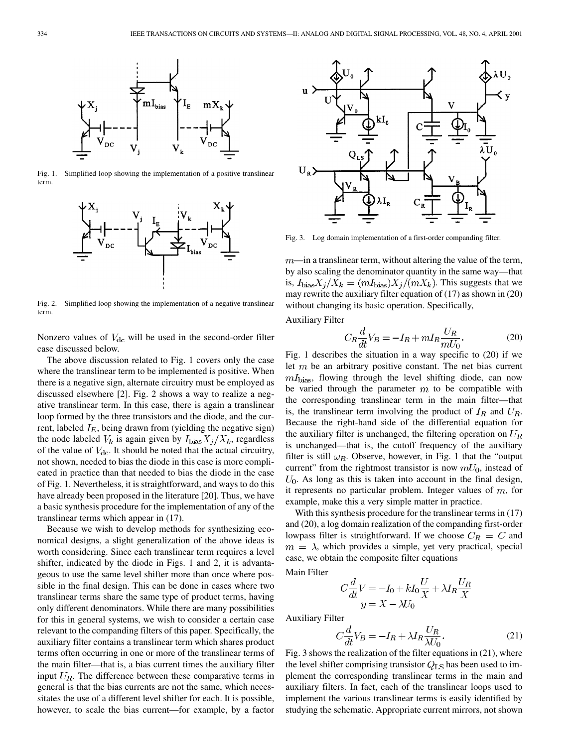

Fig. 1. Simplified loop showing the implementation of a positive translinear term.



Fig. 2. Simplified loop showing the implementation of a negative translinear term.

Nonzero values of  $V_{\text{dc}}$  will be used in the second-order filter case discussed below.

The above discussion related to Fig. 1 covers only the case where the translinear term to be implemented is positive. When there is a negative sign, alternate circuitry must be employed as discussed elsewhere [2]. Fig. 2 shows a way to realize a negative translinear term. In this case, there is again a translinear loop formed by the three transistors and the diode, and the current, labeled  $I_E$ , being drawn from (yielding the negative sign) the node labeled  $V_k$  is again given by  $I_{bias} X_j/X_k$ , regardless of the value of  $V_{\text{dc}}$ . It should be noted that the actual circuitry, not shown, needed to bias the diode in this case is more complicated in practice than that needed to bias the diode in the case of Fig. 1. Nevertheless, it is straightforward, and ways to do this have already been proposed in the literature [20]. Thus, we have a basic synthesis procedure for the implementation of any of the translinear terms which appear in (17).

Because we wish to develop methods for synthesizing economical designs, a slight generalization of the above ideas is worth considering. Since each translinear term requires a level shifter, indicated by the diode in Figs. 1 and 2, it is advantageous to use the same level shifter more than once where possible in the final design. This can be done in cases where two translinear terms share the same type of product terms, having only different denominators. While there are many possibilities for this in general systems, we wish to consider a certain case relevant to the companding filters of this paper. Specifically, the auxiliary filter contains a translinear term which shares product terms often occurring in one or more of the translinear terms of the main filter—that is, a bias current times the auxiliary filter input  $U_R$ . The difference between these comparative terms in general is that the bias currents are not the same, which necessitates the use of a different level shifter for each. It is possible, however, to scale the bias current—for example, by a factor



Fig. 3. Log domain implementation of a first-order companding filter.

 $m$ —in a translinear term, without altering the value of the term, by also scaling the denominator quantity in the same way—that is,  $I_{\text{bias}} X_j/X_k = (mI_{\text{bias}})X_j/(mX_k)$ . This suggests that we may rewrite the auxiliary filter equation of (17) as shown in (20) without changing its basic operation. Specifically,

Auxiliary Filter

$$
C_R \frac{d}{dt} V_B = -I_R + m I_R \frac{U_R}{m U_0}.
$$
 (20)

Fig. 1 describes the situation in a way specific to (20) if we let  $m$  be an arbitrary positive constant. The net bias current  $mI_{\text{bias}}$ , flowing through the level shifting diode, can now be varied through the parameter  $m$  to be compatible with the corresponding translinear term in the main filter—that is, the translinear term involving the product of  $I_R$  and  $U_R$ . Because the right-hand side of the differential equation for the auxiliary filter is unchanged, the filtering operation on  $U_R$ is unchanged—that is, the cutoff frequency of the auxiliary filter is still  $\omega_R$ . Observe, however, in Fig. 1 that the "output current" from the rightmost transistor is now  $mU_0$ , instead of  $U_0$ . As long as this is taken into account in the final design, it represents no particular problem. Integer values of  $m$ , for example, make this a very simple matter in practice.

With this synthesis procedure for the translinear terms in  $(17)$ and (20), a log domain realization of the companding first-order lowpass filter is straightforward. If we choose  $C_R = C$  and  $m = \lambda$ , which provides a simple, yet very practical, special case, we obtain the composite filter equations

Main Filter

$$
C\frac{d}{dt}V = -I_0 + kI_0\frac{U}{X} + \lambda I_R \frac{U_R}{X}
$$

$$
y = X - \lambda U_0
$$

Auxiliary Filter

$$
C\frac{d}{dt}V_B = -I_R + \lambda I_R \frac{U_R}{\lambda U_0}.\tag{21}
$$

Fig. 3 shows the realization of the filter equations in (21), where the level shifter comprising transistor  $Q_{\text{LS}}$  has been used to implement the corresponding translinear terms in the main and auxiliary filters. In fact, each of the translinear loops used to implement the various translinear terms is easily identified by studying the schematic. Appropriate current mirrors, not shown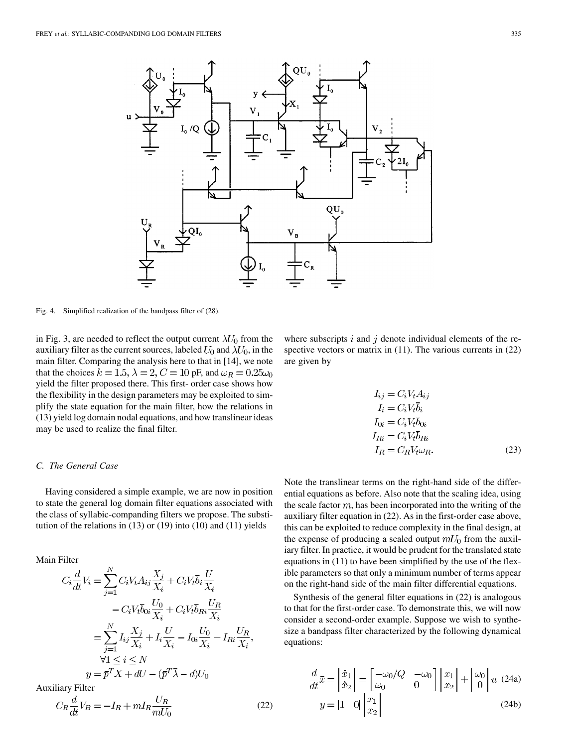

Fig. 4. Simplified realization of the bandpass filter of (28).

in Fig. 3, are needed to reflect the output current  $\lambda U_0$  from the auxiliary filter as the current sources, labeled  $U_0$  and  $\lambda U_0$ , in the main filter. Comparing the analysis here to that in [14], we note that the choices  $k = 1.5$ ,  $\lambda = 2$ ,  $C = 10$  pF, and  $\omega_R = 0.25\omega_0$ yield the filter proposed there. This first- order case shows how the flexibility in the design parameters may be exploited to simplify the state equation for the main filter, how the relations in (13) yield log domain nodal equations, and how translinear ideas may be used to realize the final filter.

## *C. The General Case*

Having considered a simple example, we are now in position to state the general log domain filter equations associated with the class of syllabic-companding filters we propose. The substitution of the relations in (13) or (19) into (10) and (11) yields

Main Filter

$$
C_i \frac{d}{dt} V_i = \sum_{j=1}^N C_i V_t A_{ij} \frac{X_j}{X_i} + C_i V_t \overline{b}_i \frac{U}{X_i}
$$
  
\n
$$
- C_i V_t \overline{b}_{0i} \frac{U_0}{X_i} + C_i V_t \overline{b}_{Ri} \frac{U_R}{X_i}
$$
  
\n
$$
= \sum_{j=1}^N I_{ij} \frac{X_j}{X_i} + I_i \frac{U}{X_i} - I_{0i} \frac{U_0}{X_i} + I_{Ri} \frac{U_R}{X_i},
$$
  
\n
$$
\forall 1 \le i \le N
$$
  
\n
$$
y = \overline{p}^T X + dU - (\overline{p}^T \overline{\lambda} - d)U_0
$$

Auxiliary Filter

$$
C_R \frac{d}{dt} V_B = -I_R + mI_R \frac{U_R}{mU_0}
$$
\n<sup>(22)</sup>

where subscripts  $i$  and  $j$  denote individual elements of the respective vectors or matrix in (11). The various currents in (22) are given by

$$
I_{ij} = C_i V_t A_{ij}
$$
  
\n
$$
I_i = C_i V_t \overline{b}_i
$$
  
\n
$$
I_{0i} = C_i V_t \overline{b}_{0i}
$$
  
\n
$$
I_{Ri} = C_i V_t \overline{b}_{Ri}
$$
  
\n
$$
I_R = C_R V_t \omega_R.
$$
\n(23)

Note the translinear terms on the right-hand side of the differential equations as before. Also note that the scaling idea, using the scale factor  $m$ , has been incorporated into the writing of the auxiliary filter equation in (22). As in the first-order case above, this can be exploited to reduce complexity in the final design, at the expense of producing a scaled output  $mU_0$  from the auxiliary filter. In practice, it would be prudent for the translated state equations in (11) to have been simplified by the use of the flexible parameters so that only a minimum number of terms appear on the right-hand side of the main filter differential equations.

Synthesis of the general filter equations in (22) is analogous to that for the first-order case. To demonstrate this, we will now consider a second-order example. Suppose we wish to synthesize a bandpass filter characterized by the following dynamical equations:

$$
\frac{d}{dt}\bar{x} = \begin{vmatrix} \dot{x}_1 \\ \dot{x}_2 \end{vmatrix} = \begin{bmatrix} -\omega_0/Q & -\omega_0 \\ \omega_0 & 0 \end{bmatrix} \begin{vmatrix} x_1 \\ x_2 \end{vmatrix} + \begin{vmatrix} \omega_0 \\ 0 \end{vmatrix} u \tag{24a}
$$

$$
y = \begin{vmatrix} 1 & 0 \end{vmatrix} \begin{vmatrix} x_1 \\ x_2 \end{vmatrix} \tag{24b}
$$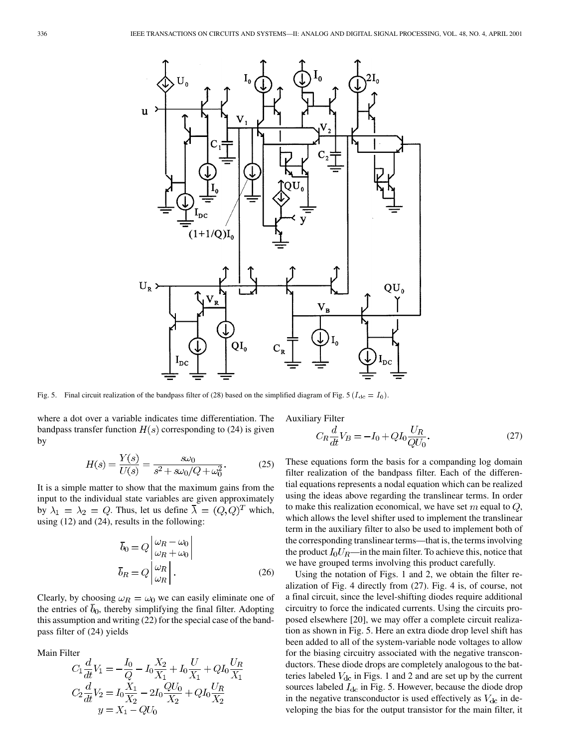

Fig. 5. Final circuit realization of the bandpass filter of (28) based on the simplified diagram of Fig. 5 ( $I_{\text{dc}} = I_0$ ).

where a dot over a variable indicates time differentiation. The bandpass transfer function  $H(s)$  corresponding to (24) is given by

$$
H(s) = \frac{Y(s)}{U(s)} = \frac{s\omega_0}{s^2 + s\omega_0/Q + \omega_0^2}.
$$
 (25)

It is a simple matter to show that the maximum gains from the input to the individual state variables are given approximately by  $\lambda_1 = \lambda_2 = Q$ . Thus, let us define  $\overline{\lambda} = (Q, Q)^T$  which, using (12) and (24), results in the following:

$$
\overline{b}_0 = Q \begin{vmatrix} \omega_R - \omega_0 \\ \omega_R + \omega_0 \end{vmatrix}
$$

$$
\overline{b}_R = Q \begin{vmatrix} \omega_R \\ \omega_R \end{vmatrix}.
$$
(26)

Clearly, by choosing  $\omega_R = \omega_0$  we can easily eliminate one of the entries of  $\bar{b}_0$ , thereby simplifying the final filter. Adopting this assumption and writing (22) for the special case of the bandpass filter of (24) yields

Main Filter

$$
C_1 \frac{d}{dt} V_1 = -\frac{I_0}{Q} - I_0 \frac{X_2}{X_1} + I_0 \frac{U}{X_1} + Q I_0 \frac{U_R}{X_1}
$$
  
\n
$$
C_2 \frac{d}{dt} V_2 = I_0 \frac{X_1}{X_2} - 2I_0 \frac{Q U_0}{X_2} + Q I_0 \frac{U_R}{X_2}
$$
  
\n
$$
y = X_1 - Q U_0
$$

Auxiliary Filter

$$
C_R \frac{d}{dt} V_B = -I_0 + Q I_0 \frac{U_R}{Q U_0}.\tag{27}
$$

These equations form the basis for a companding log domain filter realization of the bandpass filter. Each of the differential equations represents a nodal equation which can be realized using the ideas above regarding the translinear terms. In order to make this realization economical, we have set  $m$  equal to  $Q$ , which allows the level shifter used to implement the translinear term in the auxiliary filter to also be used to implement both of the corresponding translinear terms—that is, the terms involving the product  $I_0U_R$ —in the main filter. To achieve this, notice that we have grouped terms involving this product carefully.

Using the notation of Figs. 1 and 2, we obtain the filter realization of Fig. 4 directly from (27). Fig. 4 is, of course, not a final circuit, since the level-shifting diodes require additional circuitry to force the indicated currents. Using the circuits proposed elsewhere [20], we may offer a complete circuit realization as shown in Fig. 5. Here an extra diode drop level shift has been added to all of the system-variable node voltages to allow for the biasing circuitry associated with the negative transconductors. These diode drops are completely analogous to the batteries labeled  $V_{\text{dc}}$  in Figs. 1 and 2 and are set up by the current sources labeled  $I_{\text{dc}}$  in Fig. 5. However, because the diode drop in the negative transconductor is used effectively as  $V_{\text{dc}}$  in developing the bias for the output transistor for the main filter, it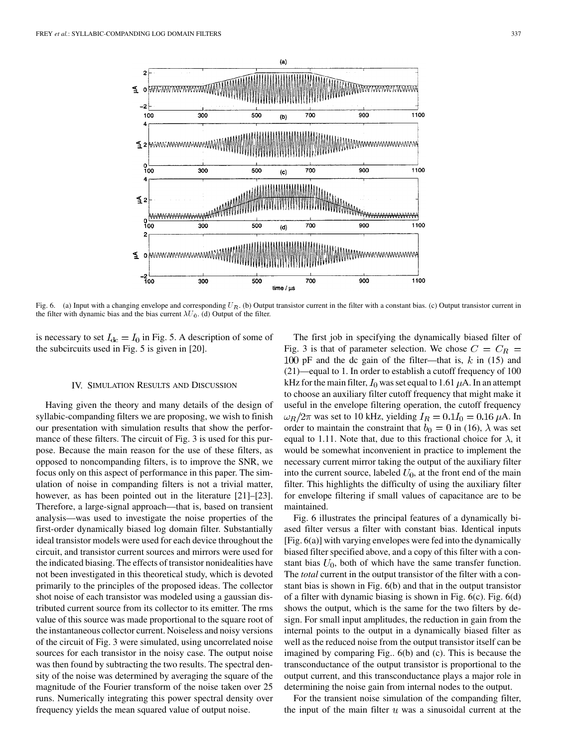

Fig. 6. (a) Input with a changing envelope and corresponding  $U_R$ . (b) Output transistor current in the filter with a constant bias. (c) Output transistor current in the filter with dynamic bias and the bias current  $\lambda U_0$ . (d) Output of the filter.

is necessary to set  $I_{\text{dc}} = I_0$  in Fig. 5. A description of some of the subcircuits used in Fig. 5 is given in [20].

#### IV. SIMULATION RESULTS AND DISCUSSION

Having given the theory and many details of the design of syllabic-companding filters we are proposing, we wish to finish our presentation with simulation results that show the performance of these filters. The circuit of Fig. 3 is used for this purpose. Because the main reason for the use of these filters, as opposed to noncompanding filters, is to improve the SNR, we focus only on this aspect of performance in this paper. The simulation of noise in companding filters is not a trivial matter, however, as has been pointed out in the literature [21]–[23]. Therefore, a large-signal approach—that is, based on transient analysis—was used to investigate the noise properties of the first-order dynamically biased log domain filter. Substantially ideal transistor models were used for each device throughout the circuit, and transistor current sources and mirrors were used for the indicated biasing. The effects of transistor nonidealities have not been investigated in this theoretical study, which is devoted primarily to the principles of the proposed ideas. The collector shot noise of each transistor was modeled using a gaussian distributed current source from its collector to its emitter. The rms value of this source was made proportional to the square root of the instantaneous collector current. Noiseless and noisy versions of the circuit of Fig. 3 were simulated, using uncorrelated noise sources for each transistor in the noisy case. The output noise was then found by subtracting the two results. The spectral density of the noise was determined by averaging the square of the magnitude of the Fourier transform of the noise taken over 25 runs. Numerically integrating this power spectral density over frequency yields the mean squared value of output noise.

The first job in specifying the dynamically biased filter of Fig. 3 is that of parameter selection. We chose  $C = C_R$  = 100 pF and the dc gain of the filter—that is,  $k$  in (15) and (21)—equal to 1. In order to establish a cutoff frequency of 100 kHz for the main filter,  $I_0$  was set equal to 1.61  $\mu$ A. In an attempt to choose an auxiliary filter cutoff frequency that might make it useful in the envelope filtering operation, the cutoff frequency  $\omega_R/2\pi$  was set to 10 kHz, yielding  $I_R = 0.1I_0 = 0.16 \,\mu\text{A}$ . In order to maintain the constraint that  $b_0 = 0$  in (16),  $\lambda$  was set equal to 1.11. Note that, due to this fractional choice for  $\lambda$ , it would be somewhat inconvenient in practice to implement the necessary current mirror taking the output of the auxiliary filter into the current source, labeled  $U_0$ , at the front end of the main filter. This highlights the difficulty of using the auxiliary filter for envelope filtering if small values of capacitance are to be maintained.

Fig. 6 illustrates the principal features of a dynamically biased filter versus a filter with constant bias. Identical inputs [Fig. 6(a)] with varying envelopes were fed into the dynamically biased filter specified above, and a copy of this filter with a constant bias  $U_0$ , both of which have the same transfer function. The *total* current in the output transistor of the filter with a constant bias is shown in Fig. 6(b) and that in the output transistor of a filter with dynamic biasing is shown in Fig. 6(c). Fig. 6(d) shows the output, which is the same for the two filters by design. For small input amplitudes, the reduction in gain from the internal points to the output in a dynamically biased filter as well as the reduced noise from the output transistor itself can be imagined by comparing Fig.. 6(b) and (c). This is because the transconductance of the output transistor is proportional to the output current, and this transconductance plays a major role in determining the noise gain from internal nodes to the output.

For the transient noise simulation of the companding filter, the input of the main filter  $u$  was a sinusoidal current at the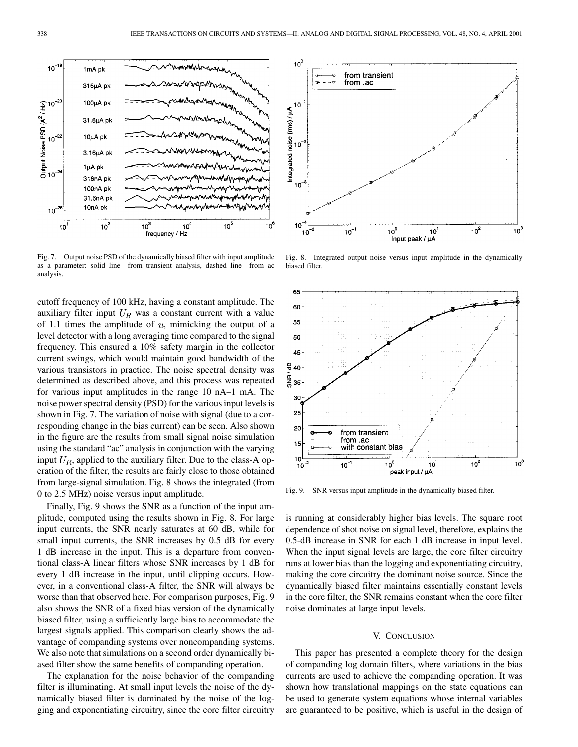

Fig. 7. Output noise PSD of the dynamically biased filter with input amplitude as a parameter: solid line—from transient analysis, dashed line—from ac analysis.

cutoff frequency of 100 kHz, having a constant amplitude. The auxiliary filter input  $U_R$  was a constant current with a value of 1.1 times the amplitude of  $u$ , mimicking the output of a level detector with a long averaging time compared to the signal frequency. This ensured a 10% safety margin in the collector current swings, which would maintain good bandwidth of the various transistors in practice. The noise spectral density was determined as described above, and this process was repeated for various input amplitudes in the range 10 nA–1 mA. The noise power spectral density (PSD) for the various input levels is shown in Fig. 7. The variation of noise with signal (due to a corresponding change in the bias current) can be seen. Also shown in the figure are the results from small signal noise simulation using the standard "ac" analysis in conjunction with the varying input  $U_R$ , applied to the auxiliary filter. Due to the class-A operation of the filter, the results are fairly close to those obtained from large-signal simulation. Fig. 8 shows the integrated (from 0 to 2.5 MHz) noise versus input amplitude.

Finally, Fig. 9 shows the SNR as a function of the input amplitude, computed using the results shown in Fig. 8. For large input currents, the SNR nearly saturates at 60 dB, while for small input currents, the SNR increases by 0.5 dB for every 1 dB increase in the input. This is a departure from conventional class-A linear filters whose SNR increases by 1 dB for every 1 dB increase in the input, until clipping occurs. However, in a conventional class-A filter, the SNR will always be worse than that observed here. For comparison purposes, Fig. 9 also shows the SNR of a fixed bias version of the dynamically biased filter, using a sufficiently large bias to accommodate the largest signals applied. This comparison clearly shows the advantage of companding systems over noncompanding systems. We also note that simulations on a second order dynamically biased filter show the same benefits of companding operation.

The explanation for the noise behavior of the companding filter is illuminating. At small input levels the noise of the dynamically biased filter is dominated by the noise of the logging and exponentiating circuitry, since the core filter circuitry



Fig. 8. Integrated output noise versus input amplitude in the dynamically biased filter.



Fig. 9. SNR versus input amplitude in the dynamically biased filter.

is running at considerably higher bias levels. The square root dependence of shot noise on signal level, therefore, explains the 0.5-dB increase in SNR for each 1 dB increase in input level. When the input signal levels are large, the core filter circuitry runs at lower bias than the logging and exponentiating circuitry, making the core circuitry the dominant noise source. Since the dynamically biased filter maintains essentially constant levels in the core filter, the SNR remains constant when the core filter noise dominates at large input levels.

## V. CONCLUSION

This paper has presented a complete theory for the design of companding log domain filters, where variations in the bias currents are used to achieve the companding operation. It was shown how translational mappings on the state equations can be used to generate system equations whose internal variables are guaranteed to be positive, which is useful in the design of